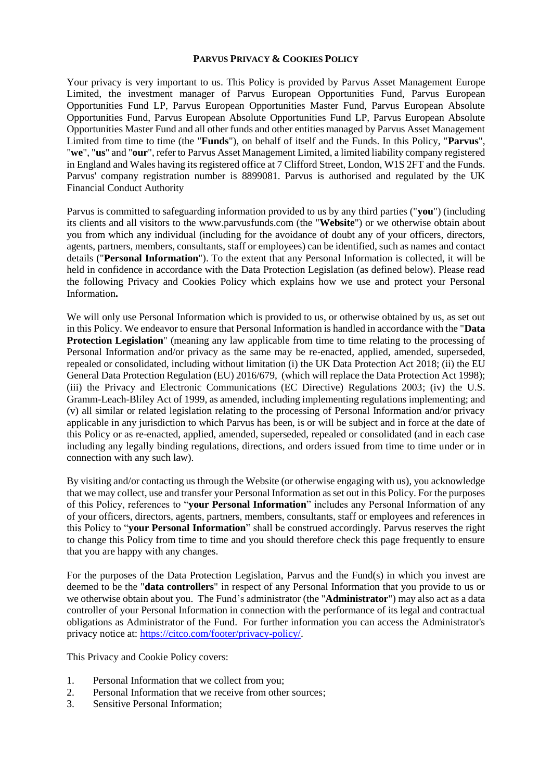#### **PARVUS PRIVACY & COOKIES POLICY**

Your privacy is very important to us. This Policy is provided by Parvus Asset Management Europe Limited, the investment manager of Parvus European Opportunities Fund, Parvus European Opportunities Fund LP, Parvus European Opportunities Master Fund, Parvus European Absolute Opportunities Fund, Parvus European Absolute Opportunities Fund LP, Parvus European Absolute Opportunities Master Fund and all other funds and other entities managed by Parvus Asset Management Limited from time to time (the "**Funds**"), on behalf of itself and the Funds. In this Policy, "**Parvus**", "**we**", "**us**" and "**our**", refer to Parvus Asset Management Limited, a limited liability company registered in England and Wales having its registered office at 7 Clifford Street, London, W1S 2FT and the Funds. Parvus' company registration number is 8899081. Parvus is authorised and regulated by the UK Financial Conduct Authority

Parvus is committed to safeguarding information provided to us by any third parties ("**you**") (including its clients and all visitors to the www.parvusfunds.com (the "**Website**") or we otherwise obtain about you from which any individual (including for the avoidance of doubt any of your officers, directors, agents, partners, members, consultants, staff or employees) can be identified, such as names and contact details ("**Personal Information**"). To the extent that any Personal Information is collected, it will be held in confidence in accordance with the Data Protection Legislation (as defined below). Please read the following Privacy and Cookies Policy which explains how we use and protect your Personal Information**.**

We will only use Personal Information which is provided to us, or otherwise obtained by us, as set out in this Policy. We endeavor to ensure that Personal Information is handled in accordance with the "**Data Protection Legislation**" (meaning any law applicable from time to time relating to the processing of Personal Information and/or privacy as the same may be re-enacted, applied, amended, superseded, repealed or consolidated, including without limitation (i) the UK Data Protection Act 2018; (ii) the EU General Data Protection Regulation (EU) 2016/679, (which will replace the Data Protection Act 1998); (iii) the Privacy and Electronic Communications (EC Directive) Regulations 2003; (iv) the U.S. Gramm-Leach-Bliley Act of 1999, as amended, including implementing regulations implementing; and (v) all similar or related legislation relating to the processing of Personal Information and/or privacy applicable in any jurisdiction to which Parvus has been, is or will be subject and in force at the date of this Policy or as re-enacted, applied, amended, superseded, repealed or consolidated (and in each case including any legally binding regulations, directions, and orders issued from time to time under or in connection with any such law).

By visiting and/or contacting us through the Website (or otherwise engaging with us), you acknowledge that we may collect, use and transfer your Personal Information as set out in this Policy. For the purposes of this Policy, references to "**your Personal Information**" includes any Personal Information of any of your officers, directors, agents, partners, members, consultants, staff or employees and references in this Policy to "**your Personal Information**" shall be construed accordingly. Parvus reserves the right to change this Policy from time to time and you should therefore check this page frequently to ensure that you are happy with any changes.

For the purposes of the Data Protection Legislation, Parvus and the Fund(s) in which you invest are deemed to be the "**data controllers**" in respect of any Personal Information that you provide to us or we otherwise obtain about you. The Fund's administrator (the "**Administrator**") may also act as a data controller of your Personal Information in connection with the performance of its legal and contractual obligations as Administrator of the Fund. For further information you can access the Administrator's privacy notice at: [https://citco.com/footer/privacy-policy/.](https://urldefense.proofpoint.com/v2/url?u=https-3A__citco.com_footer_privacy-2Dpolicy_&d=DwMF-g&c=RXj-bKe4qwF6L5km6h5eOA&r=_KtU9OP-TDI7Bel9PTqYEpeH5rCgZxsA2j85RhHlitM&m=GJUOSuy5JRMoO3-hrdT6GUjdxc7pE5k-vq7XxT6B02Y&s=qZjPjSlgUTRssQ-QnBiEc9iDTTvQqXJLSlBJ1ECchGE&e=)

This Privacy and Cookie Policy covers:

- 1. Personal Information that we collect from you;
- 2. Personal Information that we receive from other sources;
- 3. Sensitive Personal Information;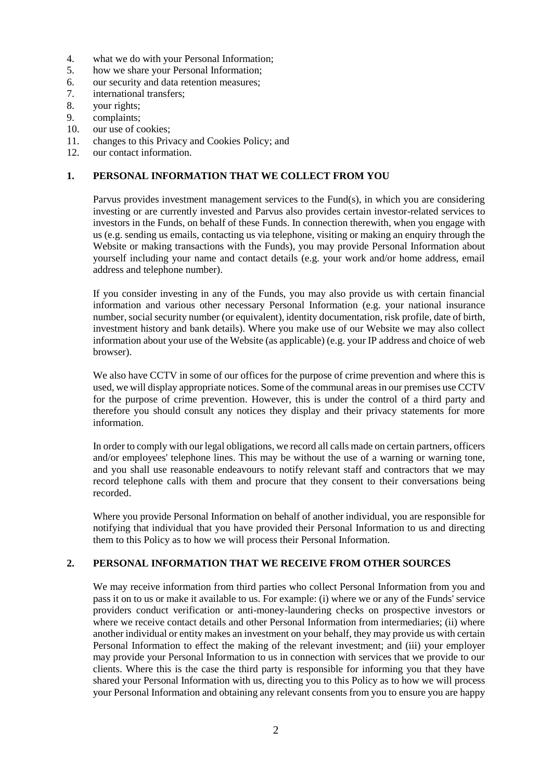- 4. what we do with your Personal Information;
- 5. how we share your Personal Information;
- 6. our security and data retention measures;
- 7. international transfers;
- 8. your rights;
- 9. complaints;
- 10. our use of cookies;
- 11. changes to this Privacy and Cookies Policy; and
- 12. our contact information.

## **1. PERSONAL INFORMATION THAT WE COLLECT FROM YOU**

Parvus provides investment management services to the Fund(s), in which you are considering investing or are currently invested and Parvus also provides certain investor-related services to investors in the Funds, on behalf of these Funds. In connection therewith, when you engage with us (e.g. sending us emails, contacting us via telephone, visiting or making an enquiry through the Website or making transactions with the Funds), you may provide Personal Information about yourself including your name and contact details (e.g. your work and/or home address, email address and telephone number).

If you consider investing in any of the Funds, you may also provide us with certain financial information and various other necessary Personal Information (e.g. your national insurance number, social security number (or equivalent), identity documentation, risk profile, date of birth, investment history and bank details). Where you make use of our Website we may also collect information about your use of the Website (as applicable) (e.g. your IP address and choice of web browser).

We also have CCTV in some of our offices for the purpose of crime prevention and where this is used, we will display appropriate notices. Some of the communal areas in our premises use CCTV for the purpose of crime prevention. However, this is under the control of a third party and therefore you should consult any notices they display and their privacy statements for more information.

In order to comply with our legal obligations, we record all calls made on certain partners, officers and/or employees' telephone lines. This may be without the use of a warning or warning tone, and you shall use reasonable endeavours to notify relevant staff and contractors that we may record telephone calls with them and procure that they consent to their conversations being recorded.

Where you provide Personal Information on behalf of another individual, you are responsible for notifying that individual that you have provided their Personal Information to us and directing them to this Policy as to how we will process their Personal Information.

# **2. PERSONAL INFORMATION THAT WE RECEIVE FROM OTHER SOURCES**

We may receive information from third parties who collect Personal Information from you and pass it on to us or make it available to us. For example: (i) where we or any of the Funds' service providers conduct verification or anti-money-laundering checks on prospective investors or where we receive contact details and other Personal Information from intermediaries; (ii) where another individual or entity makes an investment on your behalf, they may provide us with certain Personal Information to effect the making of the relevant investment; and (iii) your employer may provide your Personal Information to us in connection with services that we provide to our clients. Where this is the case the third party is responsible for informing you that they have shared your Personal Information with us, directing you to this Policy as to how we will process your Personal Information and obtaining any relevant consents from you to ensure you are happy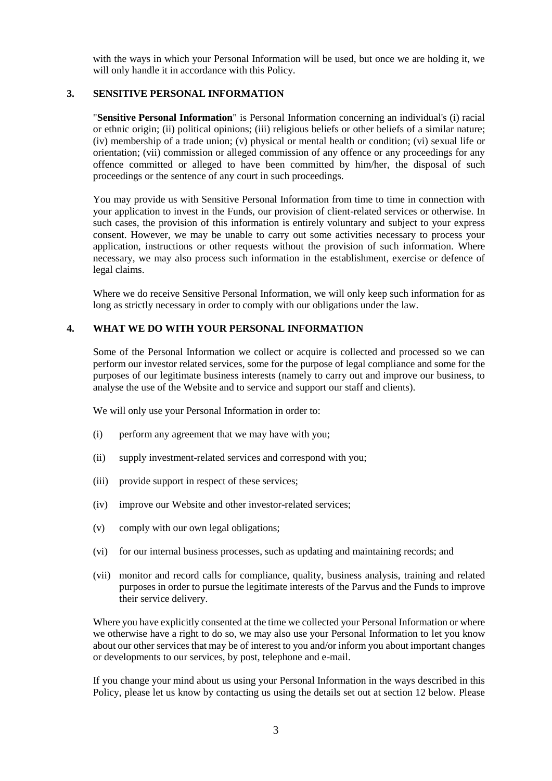with the ways in which your Personal Information will be used, but once we are holding it, we will only handle it in accordance with this Policy.

### **3. SENSITIVE PERSONAL INFORMATION**

"**Sensitive Personal Information**" is Personal Information concerning an individual's (i) racial or ethnic origin; (ii) political opinions; (iii) religious beliefs or other beliefs of a similar nature; (iv) membership of a trade union; (v) physical or mental health or condition; (vi) sexual life or orientation; (vii) commission or alleged commission of any offence or any proceedings for any offence committed or alleged to have been committed by him/her, the disposal of such proceedings or the sentence of any court in such proceedings.

You may provide us with Sensitive Personal Information from time to time in connection with your application to invest in the Funds, our provision of client-related services or otherwise. In such cases, the provision of this information is entirely voluntary and subject to your express consent. However, we may be unable to carry out some activities necessary to process your application, instructions or other requests without the provision of such information. Where necessary, we may also process such information in the establishment, exercise or defence of legal claims.

Where we do receive Sensitive Personal Information, we will only keep such information for as long as strictly necessary in order to comply with our obligations under the law.

## **4. WHAT WE DO WITH YOUR PERSONAL INFORMATION**

Some of the Personal Information we collect or acquire is collected and processed so we can perform our investor related services, some for the purpose of legal compliance and some for the purposes of our legitimate business interests (namely to carry out and improve our business, to analyse the use of the Website and to service and support our staff and clients).

We will only use your Personal Information in order to:

- (i) perform any agreement that we may have with you;
- (ii) supply investment-related services and correspond with you;
- (iii) provide support in respect of these services;
- (iv) improve our Website and other investor-related services;
- (v) comply with our own legal obligations;
- (vi) for our internal business processes, such as updating and maintaining records; and
- (vii) monitor and record calls for compliance, quality, business analysis, training and related purposes in order to pursue the legitimate interests of the Parvus and the Funds to improve their service delivery.

Where you have explicitly consented at the time we collected your Personal Information or where we otherwise have a right to do so, we may also use your Personal Information to let you know about our other services that may be of interest to you and/or inform you about important changes or developments to our services, by post, telephone and e-mail.

If you change your mind about us using your Personal Information in the ways described in this Policy, please let us know by contacting us using the details set out at section 12 below. Please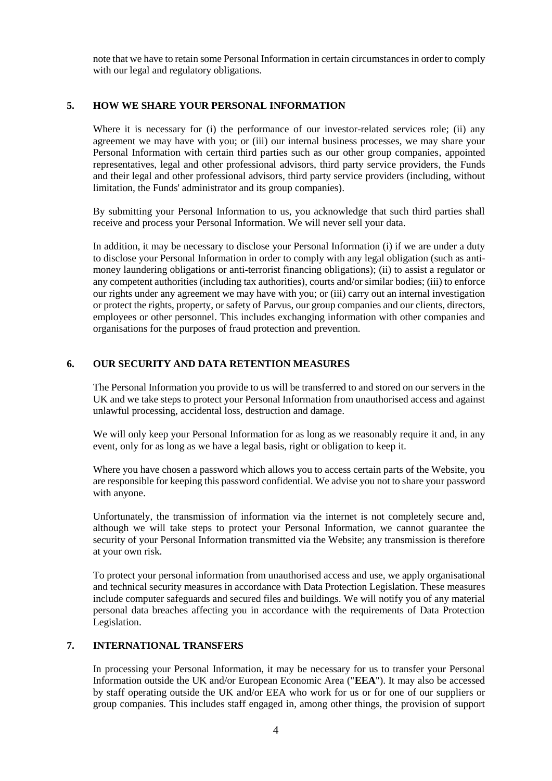note that we have to retain some Personal Information in certain circumstances in order to comply with our legal and regulatory obligations.

### **5. HOW WE SHARE YOUR PERSONAL INFORMATION**

Where it is necessary for (i) the performance of our investor-related services role; (ii) any agreement we may have with you; or (iii) our internal business processes, we may share your Personal Information with certain third parties such as our other group companies, appointed representatives, legal and other professional advisors, third party service providers, the Funds and their legal and other professional advisors, third party service providers (including, without limitation, the Funds' administrator and its group companies).

By submitting your Personal Information to us, you acknowledge that such third parties shall receive and process your Personal Information. We will never sell your data.

In addition, it may be necessary to disclose your Personal Information (i) if we are under a duty to disclose your Personal Information in order to comply with any legal obligation (such as antimoney laundering obligations or anti-terrorist financing obligations); (ii) to assist a regulator or any competent authorities (including tax authorities), courts and/or similar bodies; (iii) to enforce our rights under any agreement we may have with you; or (iii) carry out an internal investigation or protect the rights, property, or safety of Parvus, our group companies and our clients, directors, employees or other personnel. This includes exchanging information with other companies and organisations for the purposes of fraud protection and prevention.

# **6. OUR SECURITY AND DATA RETENTION MEASURES**

The Personal Information you provide to us will be transferred to and stored on our servers in the UK and we take steps to protect your Personal Information from unauthorised access and against unlawful processing, accidental loss, destruction and damage.

We will only keep your Personal Information for as long as we reasonably require it and, in any event, only for as long as we have a legal basis, right or obligation to keep it.

Where you have chosen a password which allows you to access certain parts of the Website, you are responsible for keeping this password confidential. We advise you not to share your password with anyone.

Unfortunately, the transmission of information via the internet is not completely secure and, although we will take steps to protect your Personal Information, we cannot guarantee the security of your Personal Information transmitted via the Website; any transmission is therefore at your own risk.

To protect your personal information from unauthorised access and use, we apply organisational and technical security measures in accordance with Data Protection Legislation. These measures include computer safeguards and secured files and buildings. We will notify you of any material personal data breaches affecting you in accordance with the requirements of Data Protection Legislation.

# **7. INTERNATIONAL TRANSFERS**

In processing your Personal Information, it may be necessary for us to transfer your Personal Information outside the UK and/or European Economic Area ("**EEA**"). It may also be accessed by staff operating outside the UK and/or EEA who work for us or for one of our suppliers or group companies. This includes staff engaged in, among other things, the provision of support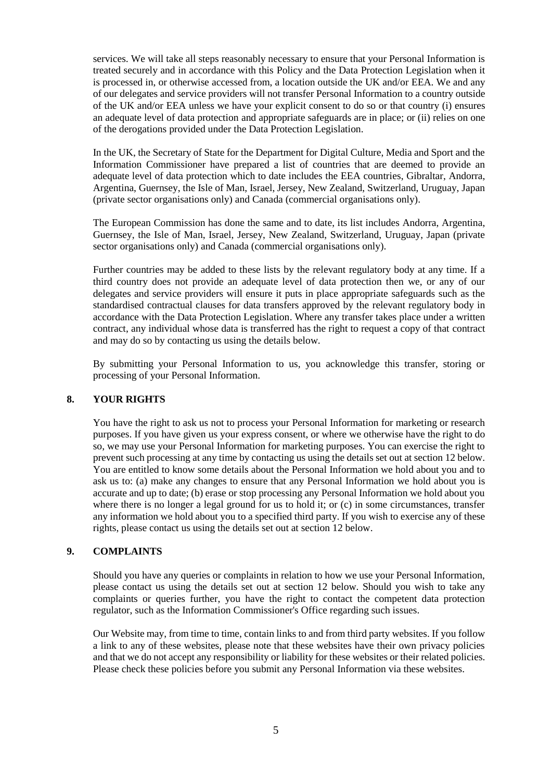services. We will take all steps reasonably necessary to ensure that your Personal Information is treated securely and in accordance with this Policy and the Data Protection Legislation when it is processed in, or otherwise accessed from, a location outside the UK and/or EEA. We and any of our delegates and service providers will not transfer Personal Information to a country outside of the UK and/or EEA unless we have your explicit consent to do so or that country (i) ensures an adequate level of data protection and appropriate safeguards are in place; or (ii) relies on one of the derogations provided under the Data Protection Legislation.

In the UK, the Secretary of State for the Department for Digital Culture, Media and Sport and the Information Commissioner have prepared a list of countries that are deemed to provide an adequate level of data protection which to date includes the EEA countries, Gibraltar, Andorra, Argentina, Guernsey, the Isle of Man, Israel, Jersey, New Zealand, Switzerland, Uruguay, Japan (private sector organisations only) and Canada (commercial organisations only).

The European Commission has done the same and to date, its list includes Andorra, Argentina, Guernsey, the Isle of Man, Israel, Jersey, New Zealand, Switzerland, Uruguay, Japan (private sector organisations only) and Canada (commercial organisations only).

Further countries may be added to these lists by the relevant regulatory body at any time. If a third country does not provide an adequate level of data protection then we, or any of our delegates and service providers will ensure it puts in place appropriate safeguards such as the standardised contractual clauses for data transfers approved by the relevant regulatory body in accordance with the Data Protection Legislation. Where any transfer takes place under a written contract, any individual whose data is transferred has the right to request a copy of that contract and may do so by contacting us using the details below.

By submitting your Personal Information to us, you acknowledge this transfer, storing or processing of your Personal Information.

#### **8. YOUR RIGHTS**

You have the right to ask us not to process your Personal Information for marketing or research purposes. If you have given us your express consent, or where we otherwise have the right to do so, we may use your Personal Information for marketing purposes. You can exercise the right to prevent such processing at any time by contacting us using the details set out at section 12 below. You are entitled to know some details about the Personal Information we hold about you and to ask us to: (a) make any changes to ensure that any Personal Information we hold about you is accurate and up to date; (b) erase or stop processing any Personal Information we hold about you where there is no longer a legal ground for us to hold it; or (c) in some circumstances, transfer any information we hold about you to a specified third party. If you wish to exercise any of these rights, please contact us using the details set out at section 12 below.

#### **9. COMPLAINTS**

Should you have any queries or complaints in relation to how we use your Personal Information, please contact us using the details set out at section 12 below. Should you wish to take any complaints or queries further, you have the right to contact the competent data protection regulator, such as the Information Commissioner's Office regarding such issues.

Our Website may, from time to time, contain links to and from third party websites. If you follow a link to any of these websites, please note that these websites have their own privacy policies and that we do not accept any responsibility or liability for these websites or their related policies. Please check these policies before you submit any Personal Information via these websites.